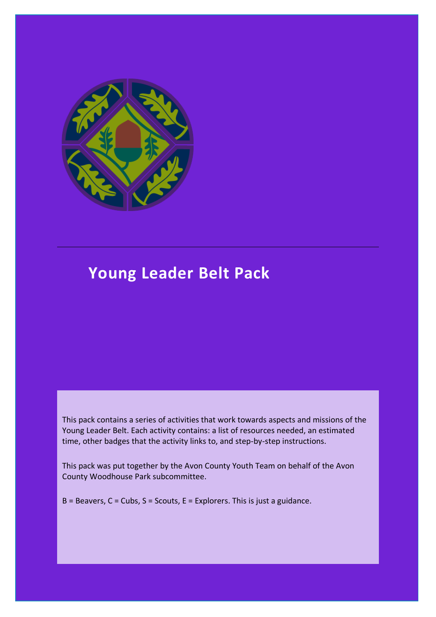

# **Young Leader Belt Pack**

This pack contains a series of activities that work towards aspects and missions of the Young Leader Belt. Each activity contains: a list of resources needed, an estimated time, other badges that the activity links to, and step-by-step instructions.

This pack was put together by the Avon County Youth Team on behalf of the Avon County Woodhouse Park subcommittee.

 $B =$  Beavers,  $C =$  Cubs,  $S =$  Scouts,  $E =$  Explorers. This is just a guidance.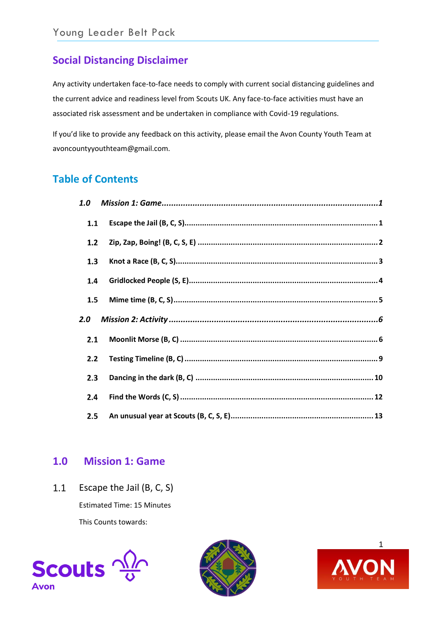# **Social Distancing Disclaimer**

Any activity undertaken face-to-face needs to comply with current social distancing guidelines and the current advice and readiness level from Scouts UK. Any face-to-face activities must have an associated risk assessment and be undertaken in compliance with Covid-19 regulations.

If you'd like to provide any feedback on this activity, please email the Avon County Youth Team at avoncountyyouthteam@gmail.com.

# **Table of Contents**

| 1.0 |  |
|-----|--|
| 1.1 |  |
| 1.2 |  |
| 1.3 |  |
| 1.4 |  |
| 1.5 |  |
|     |  |
| 2.0 |  |
| 2.1 |  |
| 2.2 |  |
| 2.3 |  |
| 2.4 |  |

## <span id="page-1-0"></span>**1.0 Mission 1: Game**

<span id="page-1-1"></span> $1.1$ Escape the Jail (B, C, S)

Estimated Time: 15 Minutes

This Counts towards:





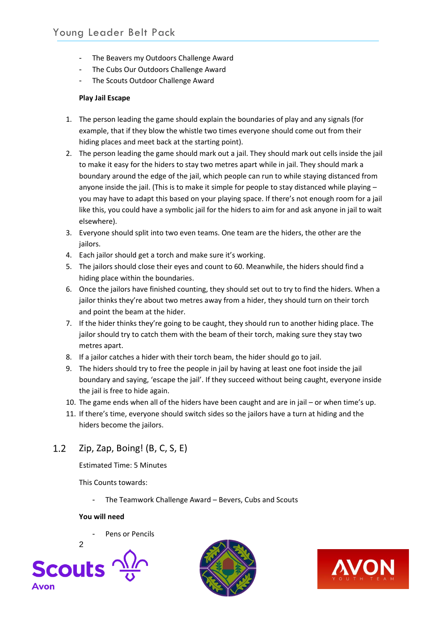- The Beavers my Outdoors Challenge Award
- The Cubs Our Outdoors Challenge Award
- The Scouts Outdoor Challenge Award

### **Play Jail Escape**

- 1. The person leading the game should explain the boundaries of play and any signals (for example, that if they blow the whistle two times everyone should come out from their hiding places and meet back at the starting point).
- 2. The person leading the game should mark out a jail. They should mark out cells inside the jail to make it easy for the hiders to stay two metres apart while in jail. They should mark a boundary around the edge of the jail, which people can run to while staying distanced from anyone inside the jail. (This is to make it simple for people to stay distanced while playing – you may have to adapt this based on your playing space. If there's not enough room for a jail like this, you could have a symbolic jail for the hiders to aim for and ask anyone in jail to wait elsewhere).
- 3. Everyone should split into two even teams. One team are the hiders, the other are the jailors.
- 4. Each jailor should get a torch and make sure it's working.
- 5. The jailors should close their eyes and count to 60. Meanwhile, the hiders should find a hiding place within the boundaries.
- 6. Once the jailors have finished counting, they should set out to try to find the hiders. When a jailor thinks they're about two metres away from a hider, they should turn on their torch and point the beam at the hider.
- 7. If the hider thinks they're going to be caught, they should run to another hiding place. The jailor should try to catch them with the beam of their torch, making sure they stay two metres apart.
- 8. If a jailor catches a hider with their torch beam, the hider should go to jail.
- 9. The hiders should try to free the people in jail by having at least one foot inside the jail boundary and saying, 'escape the jail'. If they succeed without being caught, everyone inside the jail is free to hide again.
- 10. The game ends when all of the hiders have been caught and are in jail or when time's up.
- 11. If there's time, everyone should switch sides so the jailors have a turn at hiding and the hiders become the jailors.

#### <span id="page-2-0"></span> $1.2$ Zip, Zap, Boing! (B, C, S, E)

Estimated Time: 5 Minutes

This Counts towards:

The Teamwork Challenge Award – Bevers, Cubs and Scouts

### **You will need**

Pens or Pencils





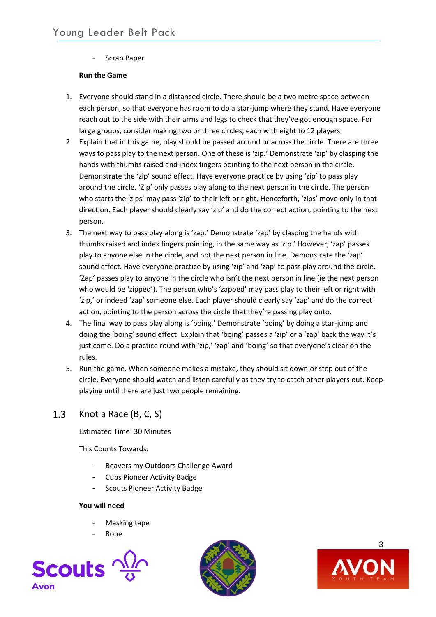- Scrap Paper

### **Run the Game**

- 1. Everyone should stand in a distanced circle. There should be a two metre space between each person, so that everyone has room to do a star-jump where they stand. Have everyone reach out to the side with their arms and legs to check that they've got enough space. For large groups, consider making two or three circles, each with eight to 12 players.
- 2. Explain that in this game, play should be passed around or across the circle. There are three ways to pass play to the next person. One of these is 'zip.' Demonstrate 'zip' by clasping the hands with thumbs raised and index fingers pointing to the next person in the circle. Demonstrate the 'zip' sound effect. Have everyone practice by using 'zip' to pass play around the circle. 'Zip' only passes play along to the next person in the circle. The person who starts the 'zips' may pass 'zip' to their left or right. Henceforth, 'zips' move only in that direction. Each player should clearly say 'zip' and do the correct action, pointing to the next person.
- 3. The next way to pass play along is 'zap.' Demonstrate 'zap' by clasping the hands with thumbs raised and index fingers pointing, in the same way as 'zip.' However, 'zap' passes play to anyone else in the circle, and not the next person in line. Demonstrate the 'zap' sound effect. Have everyone practice by using 'zip' and 'zap' to pass play around the circle. 'Zap' passes play to anyone in the circle who isn't the next person in line (ie the next person who would be 'zipped'). The person who's 'zapped' may pass play to their left or right with 'zip,' or indeed 'zap' someone else. Each player should clearly say 'zap' and do the correct action, pointing to the person across the circle that they're passing play onto.
- 4. The final way to pass play along is 'boing.' Demonstrate 'boing' by doing a star-jump and doing the 'boing' sound effect. Explain that 'boing' passes a 'zip' or a 'zap' back the way it's just come. Do a practice round with 'zip,' 'zap' and 'boing' so that everyone's clear on the rules.
- 5. Run the game. When someone makes a mistake, they should sit down or step out of the circle. Everyone should watch and listen carefully as they try to catch other players out. Keep playing until there are just two people remaining.

#### <span id="page-3-0"></span> $1.3$ Knot a Race (B, C, S)

Estimated Time: 30 Minutes

This Counts Towards:

- Beavers my Outdoors Challenge Award
- Cubs Pioneer Activity Badge
- Scouts Pioneer Activity Badge

### **You will need**

- Masking tape
- Rope





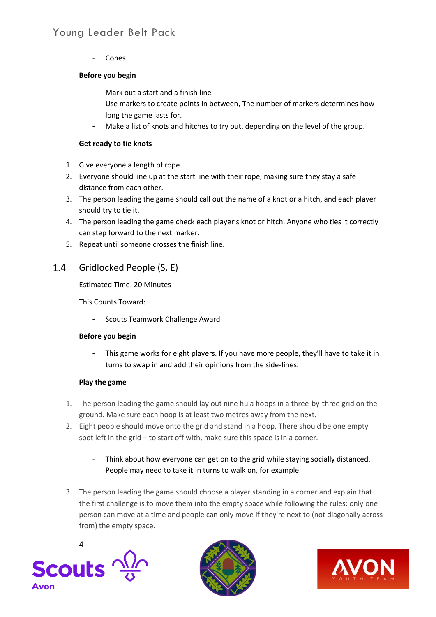**Cones** 

## **Before you begin**

- Mark out a start and a finish line
- Use markers to create points in between, The number of markers determines how long the game lasts for.
- Make a list of knots and hitches to try out, depending on the level of the group.

## **Get ready to tie knots**

- 1. Give everyone a length of rope.
- 2. Everyone should line up at the start line with their rope, making sure they stay a safe distance from each other.
- 3. The person leading the game should call out the name of a knot or a hitch, and each player should try to tie it.
- 4. The person leading the game check each player's knot or hitch. Anyone who ties it correctly can step forward to the next marker.
- 5. Repeat until someone crosses the finish line.

#### <span id="page-4-0"></span> $1.4$ Gridlocked People (S, E)

Estimated Time: 20 Minutes

This Counts Toward:

Scouts Teamwork Challenge Award

### **Before you begin**

This game works for eight players. If you have more people, they'll have to take it in turns to swap in and add their opinions from the side-lines.

## **Play the game**

- 1. The person leading the game should lay out nine hula hoops in a three-by-three grid on the ground. Make sure each hoop is at least two metres away from the next.
- 2. Eight people should move onto the grid and stand in a hoop. There should be one empty spot left in the grid – to start off with, make sure this space is in a corner.
	- Think about how everyone can get on to the grid while staying socially distanced. People may need to take it in turns to walk on, for example.
- 3. The person leading the game should choose a player standing in a corner and explain that the first challenge is to move them into the empty space while following the rules: only one person can move at a time and people can only move if they're next to (not diagonally across from) the empty space.





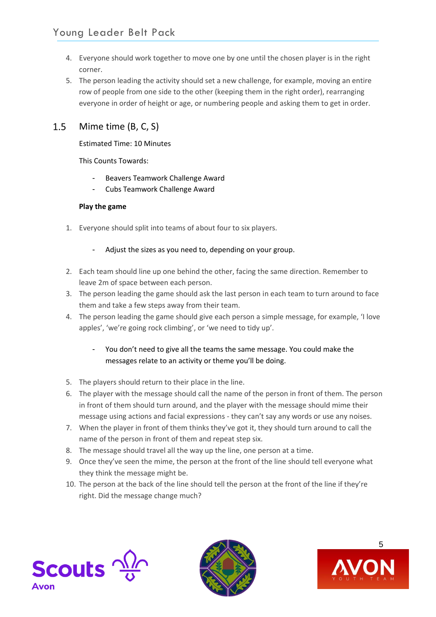- 4. Everyone should work together to move one by one until the chosen player is in the right corner.
- 5. The person leading the activity should set a new challenge, for example, moving an entire row of people from one side to the other (keeping them in the right order), rearranging everyone in order of height or age, or numbering people and asking them to get in order.

#### <span id="page-5-0"></span> $1.5$ Mime time (B, C, S)

## Estimated Time: 10 Minutes

This Counts Towards:

- Beavers Teamwork Challenge Award
- Cubs Teamwork Challenge Award

## **Play the game**

- 1. Everyone should split into teams of about four to six players.
	- Adjust the sizes as you need to, depending on your group.
- 2. Each team should line up one behind the other, facing the same direction. Remember to leave 2m of space between each person.
- 3. The person leading the game should ask the last person in each team to turn around to face them and take a few steps away from their team.
- 4. The person leading the game should give each person a simple message, for example, 'I love apples', 'we're going rock climbing', or 'we need to tidy up'.
	- You don't need to give all the teams the same message. You could make the messages relate to an activity or theme you'll be doing.
- 5. The players should return to their place in the line.
- 6. The player with the message should call the name of the person in front of them. The person in front of them should turn around, and the player with the message should mime their message using actions and facial expressions - they can't say any words or use any noises.
- 7. When the player in front of them thinks they've got it, they should turn around to call the name of the person in front of them and repeat step six.
- 8. The message should travel all the way up the line, one person at a time.
- 9. Once they've seen the mime, the person at the front of the line should tell everyone what they think the message might be.
- 10. The person at the back of the line should tell the person at the front of the line if they're right. Did the message change much?





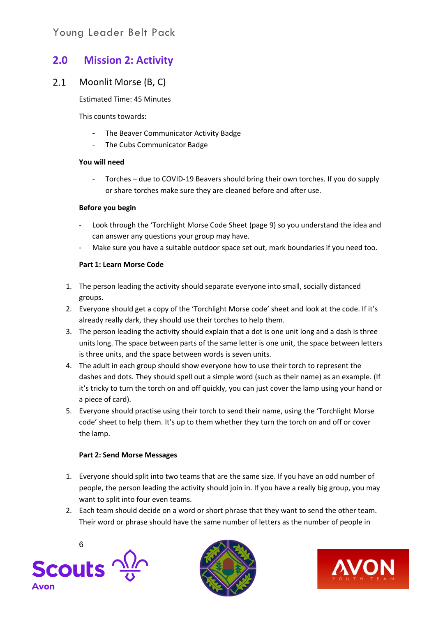# <span id="page-6-0"></span>**2.0 Mission 2: Activity**

#### <span id="page-6-1"></span> $2.1$ Moonlit Morse (B, C)

Estimated Time: 45 Minutes

This counts towards:

- The Beaver Communicator Activity Badge
- The Cubs Communicator Badge

#### **You will need**

Torches - due to COVID-19 Beavers should bring their own torches. If you do supply or share torches make sure they are cleaned before and after use.

#### **Before you begin**

- Look through the 'Torchlight Morse Code Sheet (page 9) so you understand the idea and can answer any questions your group may have.
- Make sure you have a suitable outdoor space set out, mark boundaries if you need too.

### **Part 1: Learn Morse Code**

- 1. The person leading the activity should separate everyone into small, socially distanced groups.
- 2. Everyone should get a copy of the 'Torchlight Morse code' sheet and look at the code. If it's already really dark, they should use their torches to help them.
- 3. The person leading the activity should explain that a dot is one unit long and a dash is three units long. The space between parts of the same letter is one unit, the space between letters is three units, and the space between words is seven units.
- 4. The adult in each group should show everyone how to use their torch to represent the dashes and dots. They should spell out a simple word (such as their name) as an example. (If it's tricky to turn the torch on and off quickly, you can just cover the lamp using your hand or a piece of card).
- 5. Everyone should practise using their torch to send their name, using the 'Torchlight Morse code' sheet to help them. It's up to them whether they turn the torch on and off or cover the lamp.

### **Part 2: Send Morse Messages**

- 1. Everyone should split into two teams that are the same size. If you have an odd number of people, the person leading the activity should join in. If you have a really big group, you may want to split into four even teams.
- 2. Each team should decide on a word or short phrase that they want to send the other team. Their word or phrase should have the same number of letters as the number of people in





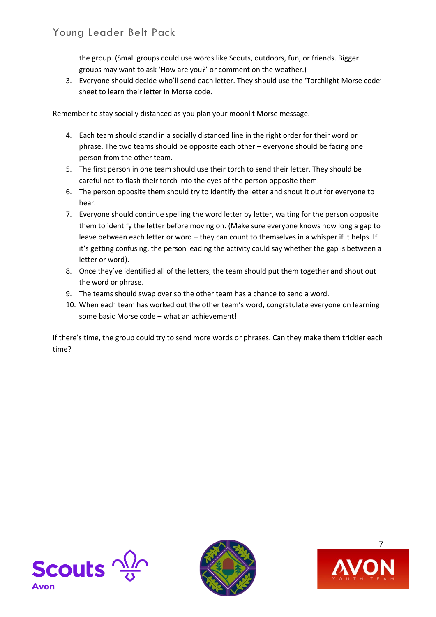the group. (Small groups could use words like Scouts, outdoors, fun, or friends. Bigger groups may want to ask 'How are you?' or comment on the weather.)

3. Everyone should decide who'll send each letter. They should use the 'Torchlight Morse code' sheet to learn their letter in Morse code.

Remember to stay socially distanced as you plan your moonlit Morse message.

- 4. Each team should stand in a socially distanced line in the right order for their word or phrase. The two teams should be opposite each other – everyone should be facing one person from the other team.
- 5. The first person in one team should use their torch to send their letter. They should be careful not to flash their torch into the eyes of the person opposite them.
- 6. The person opposite them should try to identify the letter and shout it out for everyone to hear.
- 7. Everyone should continue spelling the word letter by letter, waiting for the person opposite them to identify the letter before moving on. (Make sure everyone knows how long a gap to leave between each letter or word – they can count to themselves in a whisper if it helps. If it's getting confusing, the person leading the activity could say whether the gap is between a letter or word).
- 8. Once they've identified all of the letters, the team should put them together and shout out the word or phrase.
- 9. The teams should swap over so the other team has a chance to send a word.
- 10. When each team has worked out the other team's word, congratulate everyone on learning some basic Morse code – what an achievement!

If there's time, the group could try to send more words or phrases. Can they make them trickier each time?





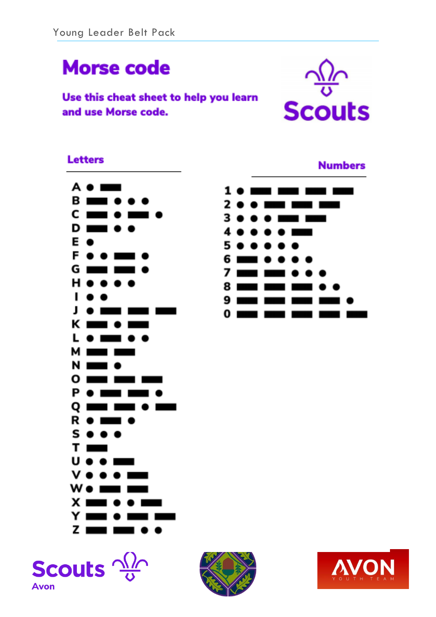# **Morse code**

Use this cheat sheet to help you learn and use Morse code.



## **Letters**









**Numbers** 

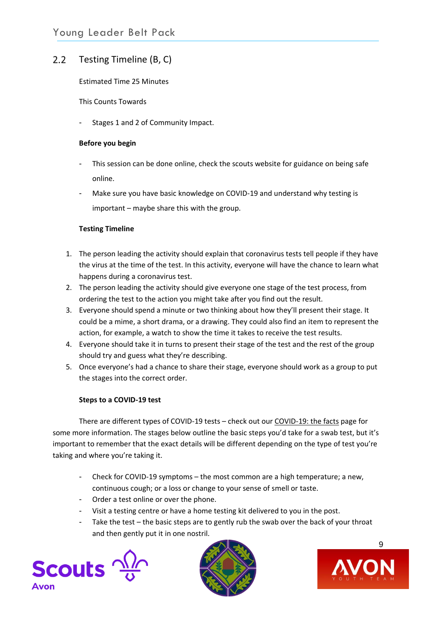#### <span id="page-9-0"></span> $2.2$ Testing Timeline (B, C)

Estimated Time 25 Minutes

This Counts Towards

Stages 1 and 2 of Community Impact.

#### **Before you begin**

- This session can be done online, check the scouts website for guidance on being safe online.
- Make sure you have basic knowledge on COVID-19 and understand why testing is important – maybe share this with the group.

### **Testing Timeline**

- 1. The person leading the activity should explain that coronavirus tests tell people if they have the virus at the time of the test. In this activity, everyone will have the chance to learn what happens during a coronavirus test.
- 2. The person leading the activity should give everyone one stage of the test process, from ordering the test to the action you might take after you find out the result.
- 3. Everyone should spend a minute or two thinking about how they'll present their stage. It could be a mime, a short drama, or a drawing. They could also find an item to represent the action, for example, a watch to show the time it takes to receive the test results.
- 4. Everyone should take it in turns to present their stage of the test and the rest of the group should try and guess what they're describing.
- 5. Once everyone's had a chance to share their stage, everyone should work as a group to put the stages into the correct order.

### **Steps to a COVID-19 test**

There are different types of COVID-19 tests – check out our [COVID-19: the facts](https://www.scouts.org.uk/coronavirus/covid-19-the-facts/) page for some more information. The stages below outline the basic steps you'd take for a swab test, but it's important to remember that the exact details will be different depending on the type of test you're taking and where you're taking it.

- Check for COVID-19 symptoms the most common are a high temperature; a new, continuous cough; or a loss or change to your sense of smell or taste.
- Order a test online or over the phone.
- Visit a testing centre or have a home testing kit delivered to you in the post.
- Take the test the basic steps are to gently rub the swab over the back of your throat and then gently put it in one nostril.





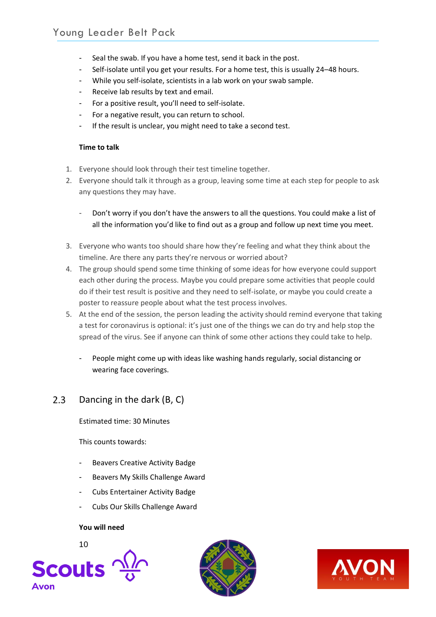- Seal the swab. If you have a home test, send it back in the post.
- Self-isolate until you get your results. For a home test, this is usually 24-48 hours.
- While you self-isolate, scientists in a lab work on your swab sample.
- Receive lab results by text and email.
- For a positive result, you'll need to self-isolate.
- For a negative result, you can return to school.
- If the result is unclear, you might need to take a second test.

### **Time to talk**

- 1. Everyone should look through their test timeline together.
- 2. Everyone should talk it through as a group, leaving some time at each step for people to ask any questions they may have.
	- Don't worry if you don't have the answers to all the questions. You could make a list of all the information you'd like to find out as a group and follow up next time you meet.
- 3. Everyone who wants too should share how they're feeling and what they think about the timeline. Are there any parts they're nervous or worried about?
- 4. The group should spend some time thinking of some ideas for how everyone could support each other during the process. Maybe you could prepare some activities that people could do if their test result is positive and they need to self-isolate, or maybe you could create a poster to reassure people about what the test process involves.
- 5. At the end of the session, the person leading the activity should remind everyone that taking a test for coronavirus is optional: it's just one of the things we can do try and help stop the spread of the virus. See if anyone can think of some other actions they could take to help.
	- People might come up with ideas like washing hands regularly, social distancing or wearing face coverings.

#### <span id="page-10-0"></span> $2.3$ Dancing in the dark (B, C)

Estimated time: 30 Minutes

This counts towards:

- Beavers Creative Activity Badge
- Beavers My Skills Challenge Award
- Cubs Entertainer Activity Badge
- Cubs Our Skills Challenge Award

### **You will need**





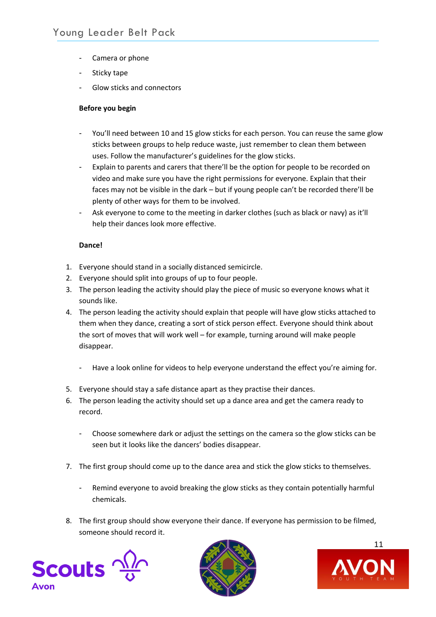- Camera or phone
- Sticky tape
- Glow sticks and connectors

### **Before you begin**

- You'll need between 10 and 15 glow sticks for each person. You can reuse the same glow sticks between groups to help reduce waste, just remember to clean them between uses. Follow the manufacturer's guidelines for the glow sticks.
- Explain to parents and carers that there'll be the option for people to be recorded on video and make sure you have the right permissions for everyone. Explain that their faces may not be visible in the dark – but if young people can't be recorded there'll be plenty of other ways for them to be involved.
- Ask everyone to come to the meeting in darker clothes (such as black or navy) as it'll help their dances look more effective.

#### **Dance!**

- 1. Everyone should stand in a socially distanced semicircle.
- 2. Everyone should split into groups of up to four people.
- 3. The person leading the activity should play the piece of music so everyone knows what it sounds like.
- 4. The person leading the activity should explain that people will have glow sticks attached to them when they dance, creating a sort of stick person effect. Everyone should think about the sort of moves that will work well – for example, turning around will make people disappear.
	- Have a look online for videos to help everyone understand the effect you're aiming for.
- 5. Everyone should stay a safe distance apart as they practise their dances.
- 6. The person leading the activity should set up a dance area and get the camera ready to record.
	- Choose somewhere dark or adjust the settings on the camera so the glow sticks can be seen but it looks like the dancers' bodies disappear.
- 7. The first group should come up to the dance area and stick the glow sticks to themselves.
	- Remind everyone to avoid breaking the glow sticks as they contain potentially harmful chemicals.
- 8. The first group should show everyone their dance. If everyone has permission to be filmed, someone should record it.





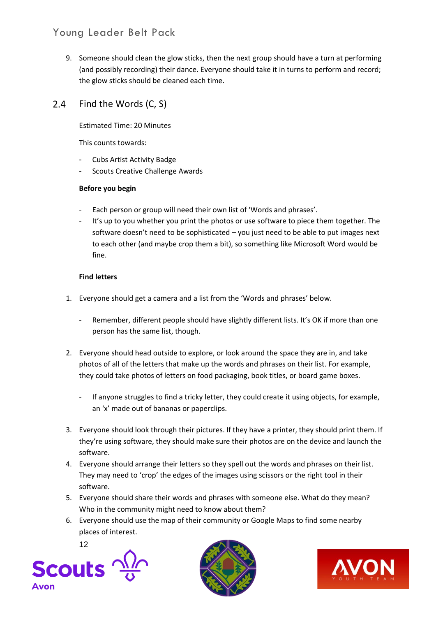9. Someone should clean the glow sticks, then the next group should have a turn at performing (and possibly recording) their dance. Everyone should take it in turns to perform and record; the glow sticks should be cleaned each time.

#### <span id="page-12-0"></span> $2.4$ Find the Words (C, S)

Estimated Time: 20 Minutes

This counts towards:

- Cubs Artist Activity Badge
- Scouts Creative Challenge Awards

## **Before you begin**

- Each person or group will need their own list of 'Words and phrases'.
- It's up to you whether you print the photos or use software to piece them together. The software doesn't need to be sophisticated – you just need to be able to put images next to each other (and maybe crop them a bit), so something like Microsoft Word would be fine.

## **Find letters**

- 1. Everyone should get a camera and a list from the 'Words and phrases' below.
	- Remember, different people should have slightly different lists. It's OK if more than one person has the same list, though.
- 2. Everyone should head outside to explore, or look around the space they are in, and take photos of all of the letters that make up the words and phrases on their list. For example, they could take photos of letters on food packaging, book titles, or board game boxes.
	- If anyone struggles to find a tricky letter, they could create it using objects, for example, an 'x' made out of bananas or paperclips.
- 3. Everyone should look through their pictures. If they have a printer, they should print them. If they're using software, they should make sure their photos are on the device and launch the software.
- 4. Everyone should arrange their letters so they spell out the words and phrases on their list. They may need to 'crop' the edges of the images using scissors or the right tool in their software.
- 5. Everyone should share their words and phrases with someone else. What do they mean? Who in the community might need to know about them?
- 6. Everyone should use the map of their community or Google Maps to find some nearby places of interest.





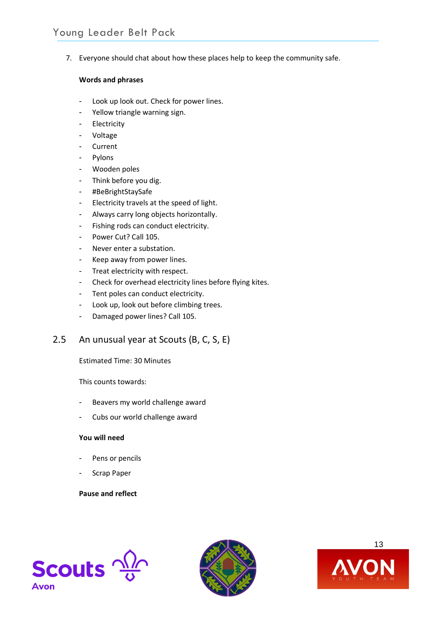7. Everyone should chat about how these places help to keep the community safe.

#### **Words and phrases**

- Look up look out. Check for power lines.
- Yellow triangle warning sign.
- Electricity
- Voltage
- **Current**
- Pylons
- Wooden poles
- Think before you dig.
- #BeBrightStaySafe
- Electricity travels at the speed of light.
- Always carry long objects horizontally.
- Fishing rods can conduct electricity.
- Power Cut? Call 105.
- Never enter a substation.
- Keep away from power lines.
- Treat electricity with respect.
- Check for overhead electricity lines before flying kites.
- Tent poles can conduct electricity.
- Look up, look out before climbing trees.
- Damaged power lines? Call 105.

#### <span id="page-13-0"></span> $2.5$ An unusual year at Scouts (B, C, S, E)

Estimated Time: 30 Minutes

This counts towards:

- Beavers my world challenge award
- Cubs our world challenge award

## **You will need**

- Pens or pencils
- Scrap Paper

### **Pause and reflect**